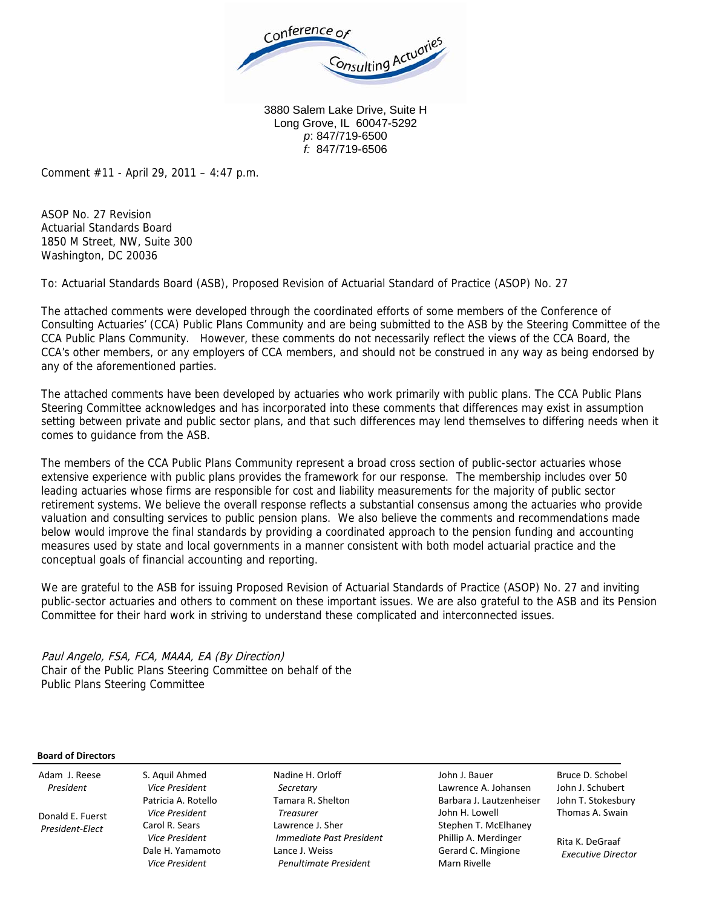

3880 Salem Lake Drive, Suite H Long Grove, IL 60047-5292 *p*: 847/719-6500 *f:* 847/719-6506

Comment #11 - April 29, 2011 – 4:47 p.m.

ASOP No. 27 Revision Actuarial Standards Board 1850 M Street, NW, Suite 300 Washington, DC 20036

To: Actuarial Standards Board (ASB), Proposed Revision of Actuarial Standard of Practice (ASOP) No. 27

The attached comments were developed through the coordinated efforts of some members of the Conference of Consulting Actuaries' (CCA) Public Plans Community and are being submitted to the ASB by the Steering Committee of the CCA Public Plans Community. However, these comments do not necessarily reflect the views of the CCA Board, the CCA's other members, or any employers of CCA members, and should not be construed in any way as being endorsed by any of the aforementioned parties.

The attached comments have been developed by actuaries who work primarily with public plans. The CCA Public Plans Steering Committee acknowledges and has incorporated into these comments that differences may exist in assumption setting between private and public sector plans, and that such differences may lend themselves to differing needs when it comes to guidance from the ASB.

The members of the CCA Public Plans Community represent a broad cross section of public-sector actuaries whose extensive experience with public plans provides the framework for our response. The membership includes over 50 leading actuaries whose firms are responsible for cost and liability measurements for the majority of public sector retirement systems. We believe the overall response reflects a substantial consensus among the actuaries who provide valuation and consulting services to public pension plans. We also believe the comments and recommendations made below would improve the final standards by providing a coordinated approach to the pension funding and accounting measures used by state and local governments in a manner consistent with both model actuarial practice and the conceptual goals of financial accounting and reporting.

We are grateful to the ASB for issuing Proposed Revision of Actuarial Standards of Practice (ASOP) No. 27 and inviting public-sector actuaries and others to comment on these important issues. We are also grateful to the ASB and its Pension Committee for their hard work in striving to understand these complicated and interconnected issues.

Paul Angelo, FSA, FCA, MAAA, EA (By Direction) Chair of the Public Plans Steering Committee on behalf of the Public Plans Steering Committee

### **Board of Directors** Adam J. Reese

 Donald E. Fuerst *President‐Elect*

*President*

S. Aquil Ahmed *Vice President* Patricia A. Rotello *Vice President* Carol R. Sears *Vice President* Dale H. Yamamoto *Vice President*

Nadine H. Orloff *Secretary* Tamara R. Shelton *Treasurer* Lawrence J. Sher *Immediate Past President* Lance J. Weiss *Penultimate President*

John J. Bauer Lawrence A. Johansen Barbara J. Lautzenheiser John H. Lowell Stephen T. McElhaney Phillip A. Merdinger Gerard C. Mingione Marn Rivelle

Bruce D. Schobel John J. Schubert John T. Stokesbury Thomas A. Swain

Rita K. DeGraaf *Executive Director*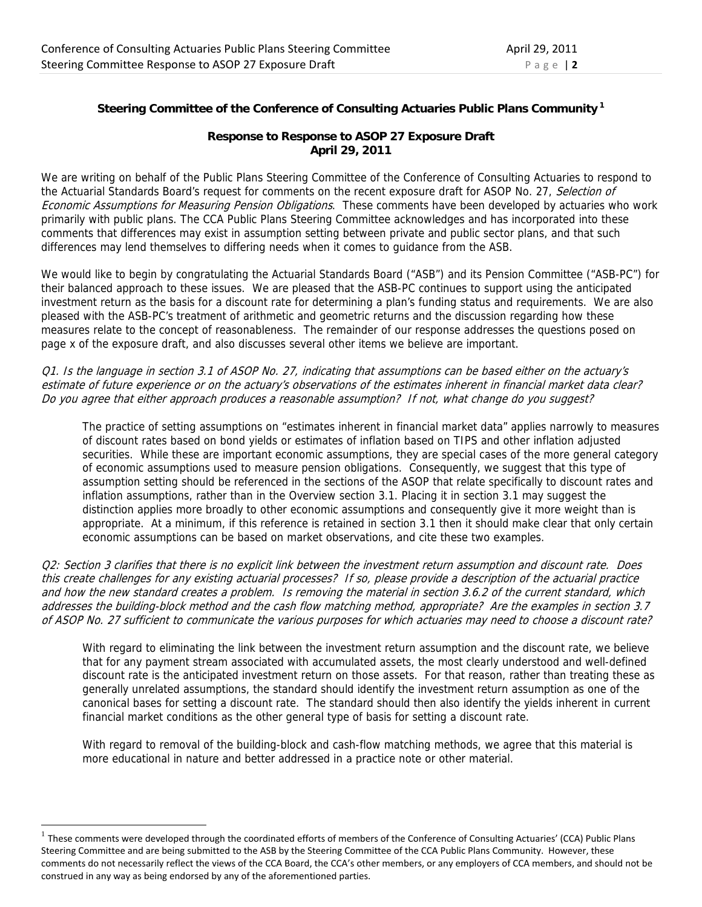# **Steering Committee of the Conference of Consulting Actuaries Public Plans Community 1**

## **Response to Response to ASOP 27 Exposure Draft April 29, 2011**

We are writing on behalf of the Public Plans Steering Committee of the Conference of Consulting Actuaries to respond to the Actuarial Standards Board's request for comments on the recent exposure draft for ASOP No. 27, Selection of Economic Assumptions for Measuring Pension Obligations. These comments have been developed by actuaries who work primarily with public plans. The CCA Public Plans Steering Committee acknowledges and has incorporated into these comments that differences may exist in assumption setting between private and public sector plans, and that such differences may lend themselves to differing needs when it comes to guidance from the ASB.

We would like to begin by congratulating the Actuarial Standards Board ("ASB") and its Pension Committee ("ASB-PC") for their balanced approach to these issues. We are pleased that the ASB-PC continues to support using the anticipated investment return as the basis for a discount rate for determining a plan's funding status and requirements. We are also pleased with the ASB-PC's treatment of arithmetic and geometric returns and the discussion regarding how these measures relate to the concept of reasonableness. The remainder of our response addresses the questions posed on page x of the exposure draft, and also discusses several other items we believe are important.

Q1. Is the language in section 3.1 of ASOP No. 27, indicating that assumptions can be based either on the actuary's estimate of future experience or on the actuary's observations of the estimates inherent in financial market data clear? Do you agree that either approach produces a reasonable assumption? If not, what change do you suggest?

The practice of setting assumptions on "estimates inherent in financial market data" applies narrowly to measures of discount rates based on bond yields or estimates of inflation based on TIPS and other inflation adjusted securities. While these are important economic assumptions, they are special cases of the more general category of economic assumptions used to measure pension obligations. Consequently, we suggest that this type of assumption setting should be referenced in the sections of the ASOP that relate specifically to discount rates and inflation assumptions, rather than in the Overview section 3.1. Placing it in section 3.1 may suggest the distinction applies more broadly to other economic assumptions and consequently give it more weight than is appropriate. At a minimum, if this reference is retained in section 3.1 then it should make clear that only certain economic assumptions can be based on market observations, and cite these two examples.

Q2: Section 3 clarifies that there is no explicit link between the investment return assumption and discount rate. Does this create challenges for any existing actuarial processes? If so, please provide a description of the actuarial practice and how the new standard creates a problem. Is removing the material in section 3.6.2 of the current standard, which addresses the building-block method and the cash flow matching method, appropriate? Are the examples in section 3.7 of ASOP No. 27 sufficient to communicate the various purposes for which actuaries may need to choose a discount rate?

With regard to eliminating the link between the investment return assumption and the discount rate, we believe that for any payment stream associated with accumulated assets, the most clearly understood and well-defined discount rate is the anticipated investment return on those assets. For that reason, rather than treating these as generally unrelated assumptions, the standard should identify the investment return assumption as one of the canonical bases for setting a discount rate. The standard should then also identify the yields inherent in current financial market conditions as the other general type of basis for setting a discount rate.

With regard to removal of the building-block and cash-flow matching methods, we agree that this material is more educational in nature and better addressed in a practice note or other material.

-

 $1$  These comments were developed through the coordinated efforts of members of the Conference of Consulting Actuaries' (CCA) Public Plans Steering Committee and are being submitted to the ASB by the Steering Committee of the CCA Public Plans Community. However, these comments do not necessarily reflect the views of the CCA Board, the CCA's other members, or any employers of CCA members, and should not be construed in any way as being endorsed by any of the aforementioned parties.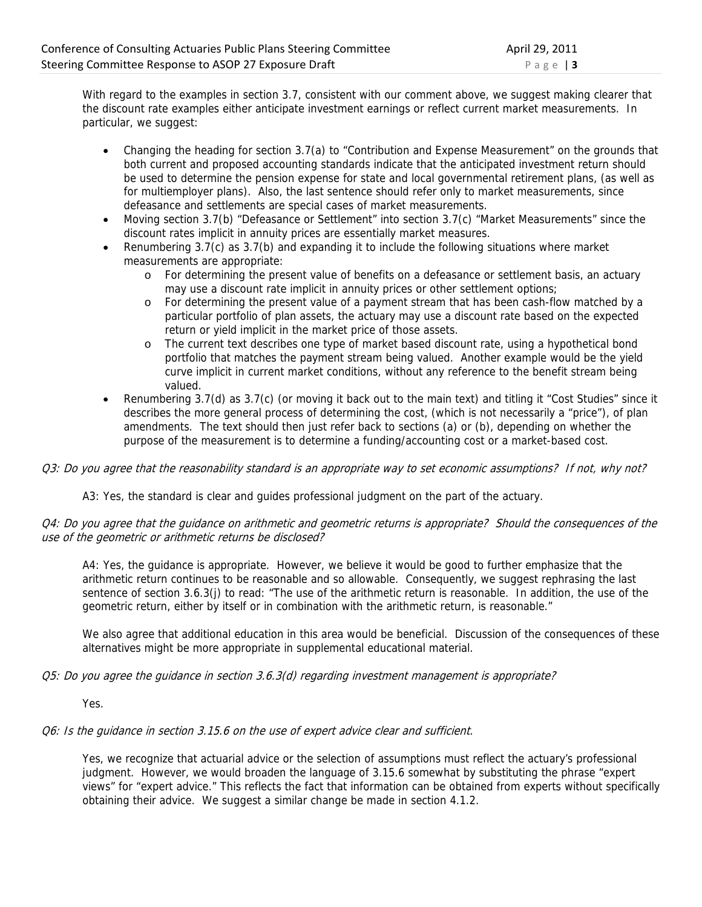With regard to the examples in section 3.7, consistent with our comment above, we suggest making clearer that the discount rate examples either anticipate investment earnings or reflect current market measurements. In particular, we suggest:

- Changing the heading for section 3.7(a) to "Contribution and Expense Measurement" on the grounds that both current and proposed accounting standards indicate that the anticipated investment return should be used to determine the pension expense for state and local governmental retirement plans, (as well as for multiemployer plans). Also, the last sentence should refer only to market measurements, since defeasance and settlements are special cases of market measurements.
- Moving section 3.7(b) "Defeasance or Settlement" into section 3.7(c) "Market Measurements" since the discount rates implicit in annuity prices are essentially market measures.
- Renumbering 3.7(c) as 3.7(b) and expanding it to include the following situations where market measurements are appropriate:
	- o For determining the present value of benefits on a defeasance or settlement basis, an actuary may use a discount rate implicit in annuity prices or other settlement options;
	- o For determining the present value of a payment stream that has been cash-flow matched by a particular portfolio of plan assets, the actuary may use a discount rate based on the expected return or yield implicit in the market price of those assets.
	- o The current text describes one type of market based discount rate, using a hypothetical bond portfolio that matches the payment stream being valued. Another example would be the yield curve implicit in current market conditions, without any reference to the benefit stream being valued.
- Renumbering 3.7(d) as 3.7(c) (or moving it back out to the main text) and titling it "Cost Studies" since it describes the more general process of determining the cost, (which is not necessarily a "price"), of plan amendments. The text should then just refer back to sections (a) or (b), depending on whether the purpose of the measurement is to determine a funding/accounting cost or a market-based cost.

### Q3: Do you agree that the reasonability standard is an appropriate way to set economic assumptions? If not, why not?

A3: Yes, the standard is clear and guides professional judgment on the part of the actuary.

### Q4: Do you agree that the guidance on arithmetic and geometric returns is appropriate? Should the consequences of the use of the geometric or arithmetic returns be disclosed?

A4: Yes, the guidance is appropriate. However, we believe it would be good to further emphasize that the arithmetic return continues to be reasonable and so allowable. Consequently, we suggest rephrasing the last sentence of section 3.6.3(j) to read: "The use of the arithmetic return is reasonable. In addition, the use of the geometric return, either by itself or in combination with the arithmetic return, is reasonable."

We also agree that additional education in this area would be beneficial. Discussion of the consequences of these alternatives might be more appropriate in supplemental educational material.

### Q5: Do you agree the guidance in section 3.6.3(d) regarding investment management is appropriate?

Yes.

### Q6: Is the guidance in section 3.15.6 on the use of expert advice clear and sufficient.

Yes, we recognize that actuarial advice or the selection of assumptions must reflect the actuary's professional judgment. However, we would broaden the language of 3.15.6 somewhat by substituting the phrase "expert views" for "expert advice." This reflects the fact that information can be obtained from experts without specifically obtaining their advice. We suggest a similar change be made in section 4.1.2.